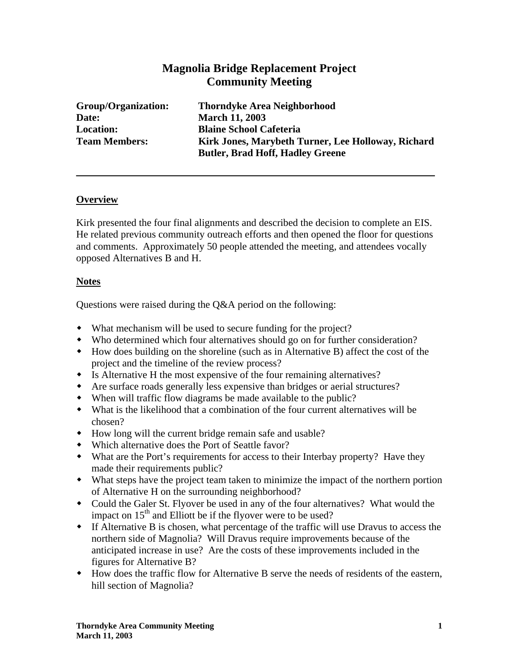# **Magnolia Bridge Replacement Project Community Meeting**

**Date: March 11, 2003** 

**Group/Organization: Thorndyke Area Neighborhood Location: Blaine School Cafeteria Team Members: Kirk Jones, Marybeth Turner, Lee Holloway, Richard Butler, Brad Hoff, Hadley Greene** 

### **Overview**

Kirk presented the four final alignments and described the decision to complete an EIS. He related previous community outreach efforts and then opened the floor for questions and comments. Approximately 50 people attended the meeting, and attendees vocally opposed Alternatives B and H.

### **Notes**

Questions were raised during the Q&A period on the following:

- What mechanism will be used to secure funding for the project?
- Who determined which four alternatives should go on for further consideration?
- How does building on the shoreline (such as in Alternative B) affect the cost of the project and the timeline of the review process?
- Is Alternative H the most expensive of the four remaining alternatives?
- Are surface roads generally less expensive than bridges or aerial structures?
- When will traffic flow diagrams be made available to the public?
- What is the likelihood that a combination of the four current alternatives will be chosen?
- How long will the current bridge remain safe and usable?
- Which alternative does the Port of Seattle favor?
- What are the Port's requirements for access to their Interbay property? Have they made their requirements public?
- What steps have the project team taken to minimize the impact of the northern portion of Alternative H on the surrounding neighborhood?
- Could the Galer St. Flyover be used in any of the four alternatives? What would the impact on  $15<sup>th</sup>$  and Elliott be if the flyover were to be used?
- If Alternative B is chosen, what percentage of the traffic will use Dravus to access the northern side of Magnolia? Will Dravus require improvements because of the anticipated increase in use? Are the costs of these improvements included in the figures for Alternative B?
- How does the traffic flow for Alternative B serve the needs of residents of the eastern, hill section of Magnolia?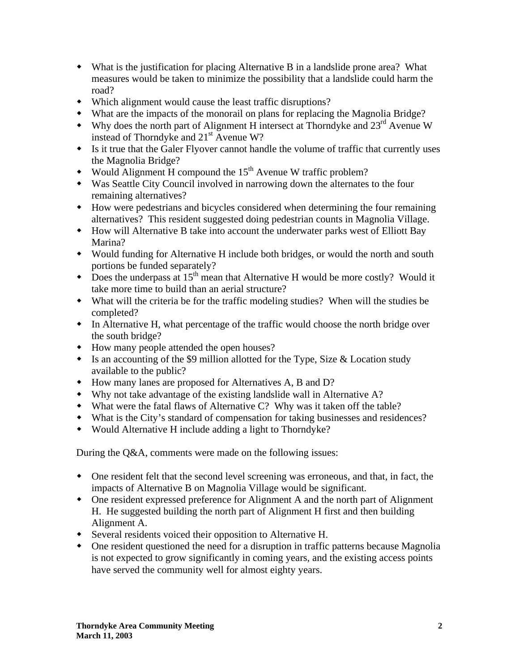- What is the justification for placing Alternative B in a landslide prone area? What measures would be taken to minimize the possibility that a landslide could harm the road?
- Which alignment would cause the least traffic disruptions?
- What are the impacts of the monorail on plans for replacing the Magnolia Bridge?
- $\bullet$  Why does the north part of Alignment H intersect at Thorndyke and 23<sup>rd</sup> Avenue W instead of Thorndyke and  $21<sup>st</sup>$  Avenue W?
- Is it true that the Galer Flyover cannot handle the volume of traffic that currently uses the Magnolia Bridge?
- Would Alignment H compound the  $15<sup>th</sup>$  Avenue W traffic problem?
- Was Seattle City Council involved in narrowing down the alternates to the four remaining alternatives?
- How were pedestrians and bicycles considered when determining the four remaining alternatives? This resident suggested doing pedestrian counts in Magnolia Village.
- How will Alternative B take into account the underwater parks west of Elliott Bay Marina?
- Would funding for Alternative H include both bridges, or would the north and south portions be funded separately?
- $\bullet$  Does the underpass at 15<sup>th</sup> mean that Alternative H would be more costly? Would it take more time to build than an aerial structure?
- What will the criteria be for the traffic modeling studies? When will the studies be completed?
- In Alternative H, what percentage of the traffic would choose the north bridge over the south bridge?
- How many people attended the open houses?
- Is an accounting of the \$9 million allotted for the Type, Size & Location study available to the public?
- How many lanes are proposed for Alternatives A, B and D?
- Why not take advantage of the existing landslide wall in Alternative A?
- What were the fatal flaws of Alternative C? Why was it taken off the table?
- What is the City's standard of compensation for taking businesses and residences?
- Would Alternative H include adding a light to Thorndyke?

During the Q&A, comments were made on the following issues:

- One resident felt that the second level screening was erroneous, and that, in fact, the impacts of Alternative B on Magnolia Village would be significant.
- One resident expressed preference for Alignment A and the north part of Alignment H. He suggested building the north part of Alignment H first and then building Alignment A.
- Several residents voiced their opposition to Alternative H.
- One resident questioned the need for a disruption in traffic patterns because Magnolia is not expected to grow significantly in coming years, and the existing access points have served the community well for almost eighty years.